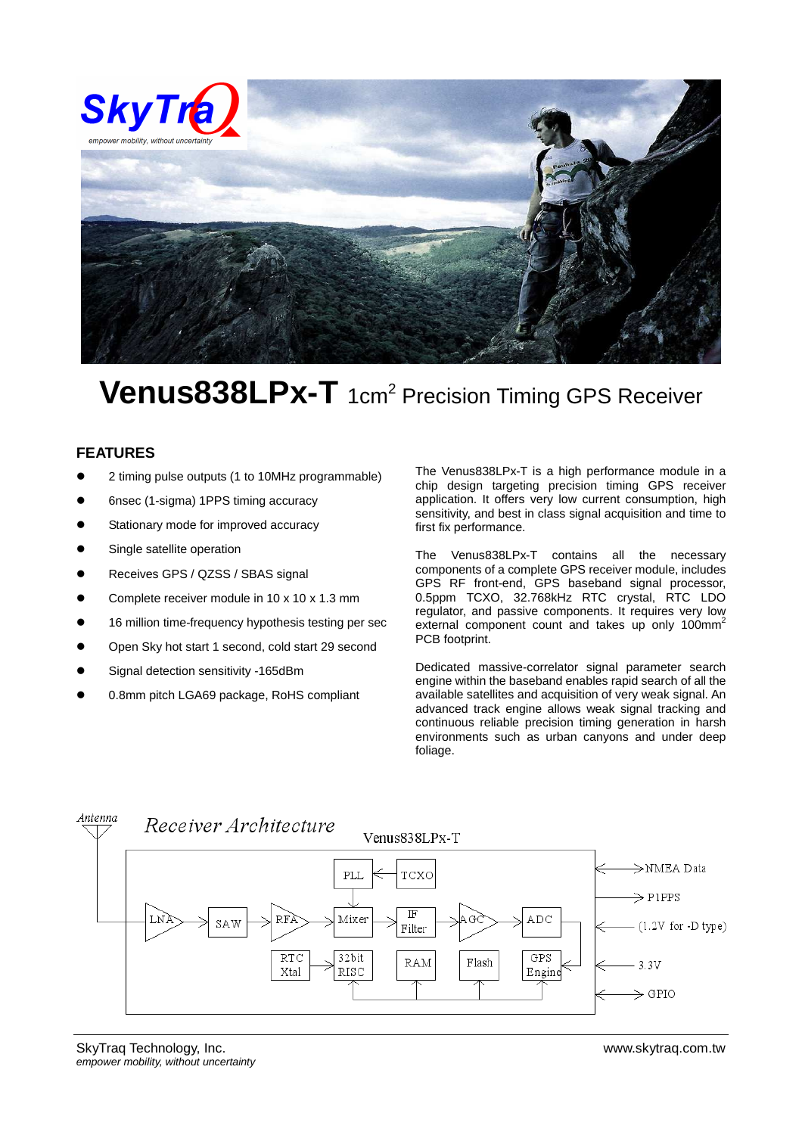

## Venus838LPx-T 1cm<sup>2</sup> Precision Timing GPS Receiver

## **FEATURES**

- 2 timing pulse outputs (1 to 10MHz programmable)
- 6nsec (1-sigma) 1PPS timing accuracy
- Stationary mode for improved accuracy
- Single satellite operation
- Receives GPS / QZSS / SBAS signal
- Complete receiver module in 10 x 10 x 1.3 mm
- 16 million time-frequency hypothesis testing per sec
- Open Sky hot start 1 second, cold start 29 second
- Signal detection sensitivity -165dBm
- 0.8mm pitch LGA69 package, RoHS compliant

The Venus838LPx-T is a high performance module in a chip design targeting precision timing GPS receiver application. It offers very low current consumption, high sensitivity, and best in class signal acquisition and time to first fix performance.

The Venus838LPx-T contains all the necessary components of a complete GPS receiver module, includes GPS RF front-end, GPS baseband signal processor, 0.5ppm TCXO, 32.768kHz RTC crystal, RTC LDO regulator, and passive components. It requires very low external component count and takes up only 100mm<sup>2</sup> PCB footprint.

Dedicated massive-correlator signal parameter search engine within the baseband enables rapid search of all the available satellites and acquisition of very weak signal. An advanced track engine allows weak signal tracking and continuous reliable precision timing generation in harsh environments such as urban canyons and under deep foliage.